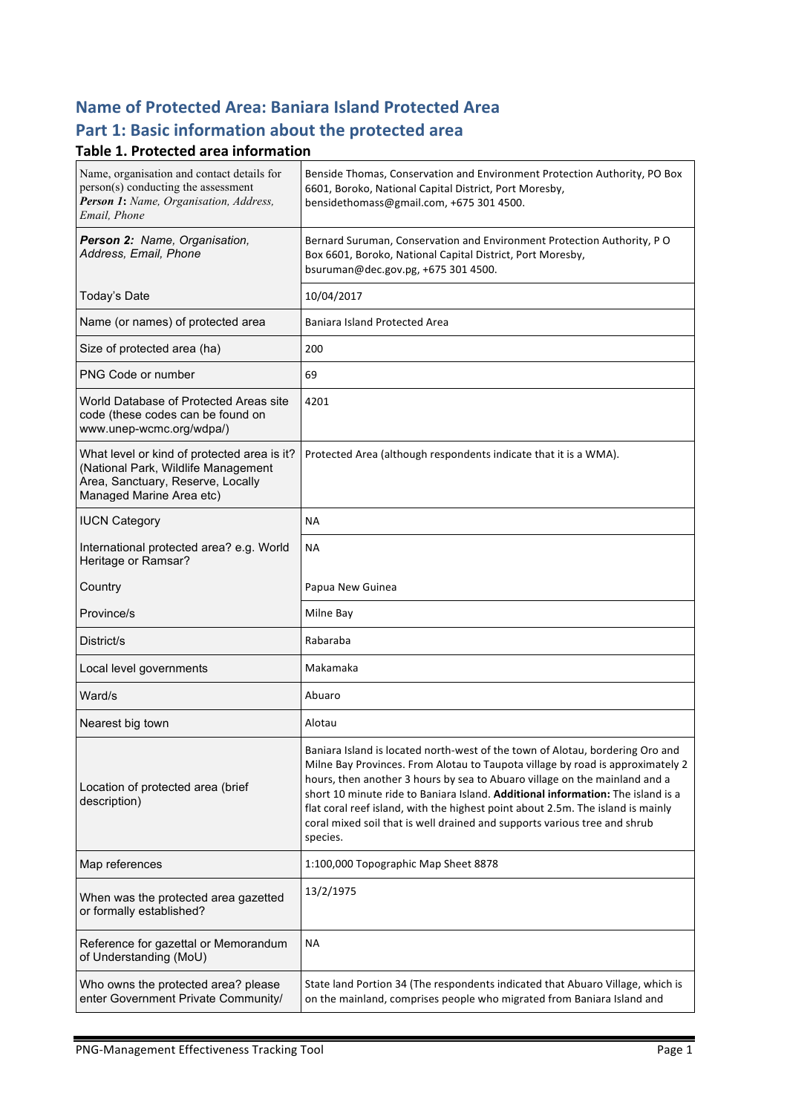# **Name of Protected Area: Baniara Island Protected Area** Part 1: Basic information about the protected area

#### **Table 1. Protected area information**

| Name, organisation and contact details for<br>person(s) conducting the assessment<br>Person 1: Name, Organisation, Address,<br>Email, Phone         | Benside Thomas, Conservation and Environment Protection Authority, PO Box<br>6601, Boroko, National Capital District, Port Moresby,<br>bensidethomass@gmail.com, +675 301 4500.                                                                                                                                                                                                                                                                                                                              |
|-----------------------------------------------------------------------------------------------------------------------------------------------------|--------------------------------------------------------------------------------------------------------------------------------------------------------------------------------------------------------------------------------------------------------------------------------------------------------------------------------------------------------------------------------------------------------------------------------------------------------------------------------------------------------------|
| Person 2: Name, Organisation,<br>Address, Email, Phone                                                                                              | Bernard Suruman, Conservation and Environment Protection Authority, PO<br>Box 6601, Boroko, National Capital District, Port Moresby,<br>bsuruman@dec.gov.pg, +675 301 4500.                                                                                                                                                                                                                                                                                                                                  |
| Today's Date                                                                                                                                        | 10/04/2017                                                                                                                                                                                                                                                                                                                                                                                                                                                                                                   |
| Name (or names) of protected area                                                                                                                   | <b>Baniara Island Protected Area</b>                                                                                                                                                                                                                                                                                                                                                                                                                                                                         |
| Size of protected area (ha)                                                                                                                         | 200                                                                                                                                                                                                                                                                                                                                                                                                                                                                                                          |
| PNG Code or number                                                                                                                                  | 69                                                                                                                                                                                                                                                                                                                                                                                                                                                                                                           |
| World Database of Protected Areas site<br>code (these codes can be found on<br>www.unep-wcmc.org/wdpa/)                                             | 4201                                                                                                                                                                                                                                                                                                                                                                                                                                                                                                         |
| What level or kind of protected area is it?<br>(National Park, Wildlife Management<br>Area, Sanctuary, Reserve, Locally<br>Managed Marine Area etc) | Protected Area (although respondents indicate that it is a WMA).                                                                                                                                                                                                                                                                                                                                                                                                                                             |
| <b>IUCN Category</b>                                                                                                                                | ΝA                                                                                                                                                                                                                                                                                                                                                                                                                                                                                                           |
| International protected area? e.g. World<br>Heritage or Ramsar?                                                                                     | <b>NA</b>                                                                                                                                                                                                                                                                                                                                                                                                                                                                                                    |
| Country                                                                                                                                             | Papua New Guinea                                                                                                                                                                                                                                                                                                                                                                                                                                                                                             |
| Province/s                                                                                                                                          | Milne Bay                                                                                                                                                                                                                                                                                                                                                                                                                                                                                                    |
| District/s                                                                                                                                          | Rabaraba                                                                                                                                                                                                                                                                                                                                                                                                                                                                                                     |
| Local level governments                                                                                                                             | Makamaka                                                                                                                                                                                                                                                                                                                                                                                                                                                                                                     |
| Ward/s                                                                                                                                              | Abuaro                                                                                                                                                                                                                                                                                                                                                                                                                                                                                                       |
| Nearest big town                                                                                                                                    | Alotau                                                                                                                                                                                                                                                                                                                                                                                                                                                                                                       |
| Location of protected area (brief<br>description)                                                                                                   | Baniara Island is located north-west of the town of Alotau, bordering Oro and<br>Milne Bay Provinces. From Alotau to Taupota village by road is approximately 2<br>hours, then another 3 hours by sea to Abuaro village on the mainland and a<br>short 10 minute ride to Baniara Island. Additional information: The island is a<br>flat coral reef island, with the highest point about 2.5m. The island is mainly<br>coral mixed soil that is well drained and supports various tree and shrub<br>species. |
| Map references                                                                                                                                      | 1:100,000 Topographic Map Sheet 8878                                                                                                                                                                                                                                                                                                                                                                                                                                                                         |
| When was the protected area gazetted<br>or formally established?                                                                                    | 13/2/1975                                                                                                                                                                                                                                                                                                                                                                                                                                                                                                    |
| Reference for gazettal or Memorandum<br>of Understanding (MoU)                                                                                      | NА                                                                                                                                                                                                                                                                                                                                                                                                                                                                                                           |
| Who owns the protected area? please<br>enter Government Private Community/                                                                          | State land Portion 34 (The respondents indicated that Abuaro Village, which is<br>on the mainland, comprises people who migrated from Baniara Island and                                                                                                                                                                                                                                                                                                                                                     |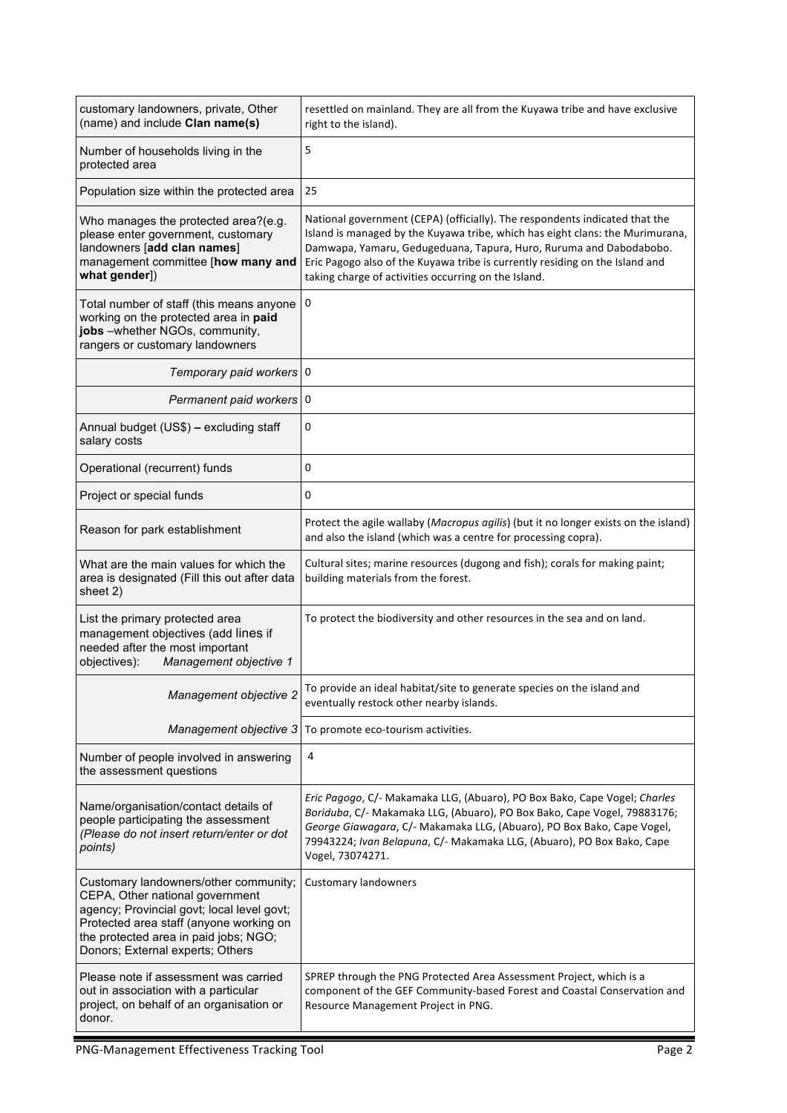| customary landowners, private, Other<br>(name) and include Clan name(s)                                                                                                                                                                        | resettled on mainland. They are all from the Kuyawa tribe and have exclusive<br>right to the island).                                                                                                                                                                                                                                                                      |
|------------------------------------------------------------------------------------------------------------------------------------------------------------------------------------------------------------------------------------------------|----------------------------------------------------------------------------------------------------------------------------------------------------------------------------------------------------------------------------------------------------------------------------------------------------------------------------------------------------------------------------|
| Number of households living in the<br>protected area                                                                                                                                                                                           | 5                                                                                                                                                                                                                                                                                                                                                                          |
| Population size within the protected area                                                                                                                                                                                                      | 25                                                                                                                                                                                                                                                                                                                                                                         |
| Who manages the protected area?(e.g.<br>please enter government, customary<br>landowners [add clan names]<br>management committee [how many and<br>what gender])                                                                               | National government (CEPA) (officially). The respondents indicated that the<br>Island is managed by the Kuyawa tribe, which has eight clans: the Murimurana,<br>Damwapa, Yamaru, Gedugeduana, Tapura, Huro, Ruruma and Dabodabobo.<br>Eric Pagogo also of the Kuyawa tribe is currently residing on the Island and<br>taking charge of activities occurring on the Island. |
| Total number of staff (this means anyone<br>working on the protected area in paid<br>jobs -whether NGOs, community,<br>rangers or customary landowners                                                                                         | 0                                                                                                                                                                                                                                                                                                                                                                          |
| Temporary paid workers 0                                                                                                                                                                                                                       |                                                                                                                                                                                                                                                                                                                                                                            |
| Permanent paid workers 0                                                                                                                                                                                                                       |                                                                                                                                                                                                                                                                                                                                                                            |
| Annual budget (US\$) - excluding staff<br>salary costs                                                                                                                                                                                         | 0                                                                                                                                                                                                                                                                                                                                                                          |
| Operational (recurrent) funds                                                                                                                                                                                                                  | 0                                                                                                                                                                                                                                                                                                                                                                          |
| Project or special funds                                                                                                                                                                                                                       | 0                                                                                                                                                                                                                                                                                                                                                                          |
| Reason for park establishment                                                                                                                                                                                                                  | Protect the agile wallaby (Macropus agilis) (but it no longer exists on the island)<br>and also the island (which was a centre for processing copra).                                                                                                                                                                                                                      |
| What are the main values for which the<br>area is designated (Fill this out after data<br>sheet 2)                                                                                                                                             | Cultural sites; marine resources (dugong and fish); corals for making paint;<br>building materials from the forest.                                                                                                                                                                                                                                                        |
| List the primary protected area<br>management objectives (add lines if<br>needed after the most important<br>Management objective 1<br>objectives):                                                                                            | To protect the biodiversity and other resources in the sea and on land.                                                                                                                                                                                                                                                                                                    |
| Management objective 2                                                                                                                                                                                                                         | To provide an ideal habitat/site to generate species on the island and<br>eventually restock other nearby islands.                                                                                                                                                                                                                                                         |
| Management objective 3                                                                                                                                                                                                                         | To promote eco-tourism activities.                                                                                                                                                                                                                                                                                                                                         |
| Number of people involved in answering<br>the assessment questions                                                                                                                                                                             | 4                                                                                                                                                                                                                                                                                                                                                                          |
| Name/organisation/contact details of<br>people participating the assessment<br>(Please do not insert return/enter or dot<br>points)                                                                                                            | Eric Pagogo, C/- Makamaka LLG, (Abuaro), PO Box Bako, Cape Vogel; Charles<br>Boriduba, C/- Makamaka LLG, (Abuaro), PO Box Bako, Cape Vogel, 79883176;<br>George Giawagara, C/- Makamaka LLG, (Abuaro), PO Box Bako, Cape Vogel,<br>79943224; Ivan Belapuna, C/- Makamaka LLG, (Abuaro), PO Box Bako, Cape<br>Vogel, 73074271.                                              |
| Customary landowners/other community;<br>CEPA, Other national government<br>agency; Provincial govt; local level govt;<br>Protected area staff (anyone working on<br>the protected area in paid jobs; NGO;<br>Donors; External experts; Others | <b>Customary landowners</b>                                                                                                                                                                                                                                                                                                                                                |
| Please note if assessment was carried<br>out in association with a particular<br>project, on behalf of an organisation or<br>donor.                                                                                                            | SPREP through the PNG Protected Area Assessment Project, which is a<br>component of the GEF Community-based Forest and Coastal Conservation and<br>Resource Management Project in PNG.                                                                                                                                                                                     |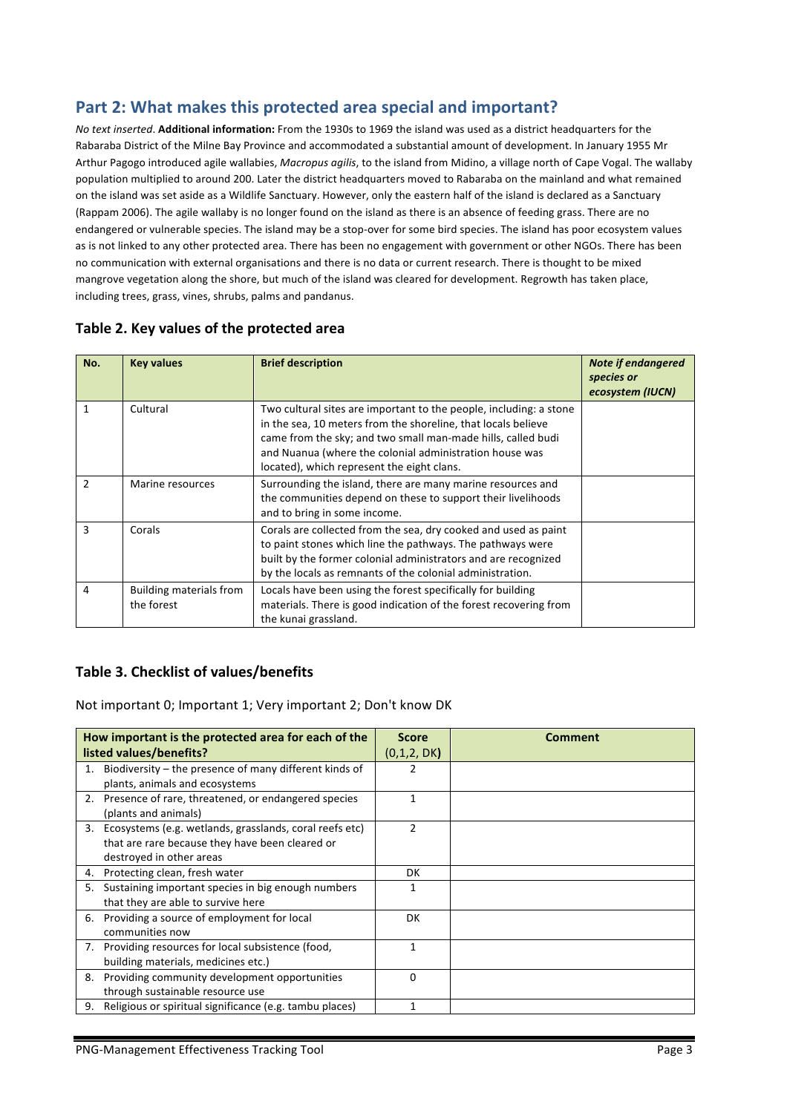## Part 2: What makes this protected area special and important?

*No text inserted*. **Additional information:** From the 1930s to 1969 the island was used as a district headquarters for the Rabaraba District of the Milne Bay Province and accommodated a substantial amount of development. In January 1955 Mr Arthur Pagogo introduced agile wallabies, Macropus agilis, to the island from Midino, a village north of Cape Vogal. The wallaby population multiplied to around 200. Later the district headquarters moved to Rabaraba on the mainland and what remained on the island was set aside as a Wildlife Sanctuary. However, only the eastern half of the island is declared as a Sanctuary (Rappam 2006). The agile wallaby is no longer found on the island as there is an absence of feeding grass. There are no endangered or vulnerable species. The island may be a stop-over for some bird species. The island has poor ecosystem values as is not linked to any other protected area. There has been no engagement with government or other NGOs. There has been no communication with external organisations and there is no data or current research. There is thought to be mixed mangrove vegetation along the shore, but much of the island was cleared for development. Regrowth has taken place, including trees, grass, vines, shrubs, palms and pandanus.

| No.           | <b>Key values</b>                            | <b>Brief description</b>                                                                                                                                                                                                                                                                                     | <b>Note if endangered</b><br>species or<br>ecosystem (IUCN) |
|---------------|----------------------------------------------|--------------------------------------------------------------------------------------------------------------------------------------------------------------------------------------------------------------------------------------------------------------------------------------------------------------|-------------------------------------------------------------|
| 1             | Cultural                                     | Two cultural sites are important to the people, including: a stone<br>in the sea, 10 meters from the shoreline, that locals believe<br>came from the sky; and two small man-made hills, called budi<br>and Nuanua (where the colonial administration house was<br>located), which represent the eight clans. |                                                             |
| $\mathcal{P}$ | Marine resources                             | Surrounding the island, there are many marine resources and<br>the communities depend on these to support their livelihoods<br>and to bring in some income.                                                                                                                                                  |                                                             |
| 3             | Corals                                       | Corals are collected from the sea, dry cooked and used as paint<br>to paint stones which line the pathways. The pathways were<br>built by the former colonial administrators and are recognized<br>by the locals as remnants of the colonial administration.                                                 |                                                             |
| 4             | <b>Building materials from</b><br>the forest | Locals have been using the forest specifically for building<br>materials. There is good indication of the forest recovering from<br>the kunai grassland.                                                                                                                                                     |                                                             |

#### Table 2. Key values of the protected area

### **Table 3. Checklist of values/benefits**

Not important 0; Important 1; Very important 2; Don't know DK

|    | How important is the protected area for each of the        | <b>Score</b>   | Comment |
|----|------------------------------------------------------------|----------------|---------|
|    | listed values/benefits?                                    | (0,1,2, DK)    |         |
|    | Biodiversity – the presence of many different kinds of     | 2              |         |
|    | plants, animals and ecosystems                             |                |         |
|    | 2. Presence of rare, threatened, or endangered species     | 1              |         |
|    | (plants and animals)                                       |                |         |
|    | 3. Ecosystems (e.g. wetlands, grasslands, coral reefs etc) | $\mathfrak{p}$ |         |
|    | that are rare because they have been cleared or            |                |         |
|    | destroyed in other areas                                   |                |         |
|    | 4. Protecting clean, fresh water                           | DK.            |         |
| 5. | Sustaining important species in big enough numbers         |                |         |
|    | that they are able to survive here                         |                |         |
|    | 6. Providing a source of employment for local              | DK             |         |
|    | communities now                                            |                |         |
|    | 7. Providing resources for local subsistence (food,        | 1              |         |
|    | building materials, medicines etc.)                        |                |         |
| 8. | Providing community development opportunities              | $\Omega$       |         |
|    | through sustainable resource use                           |                |         |
|    | 9. Religious or spiritual significance (e.g. tambu places) | 1              |         |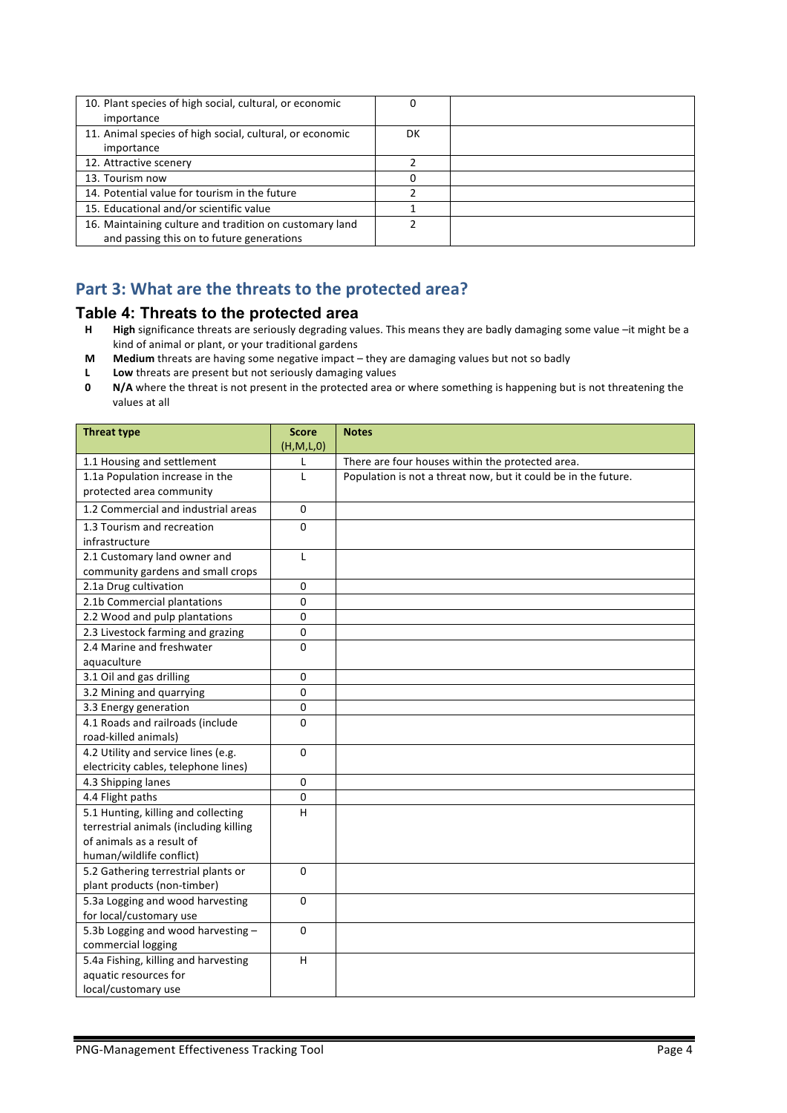| 10. Plant species of high social, cultural, or economic  |    |  |
|----------------------------------------------------------|----|--|
| importance                                               |    |  |
| 11. Animal species of high social, cultural, or economic | DK |  |
| importance                                               |    |  |
| 12. Attractive scenery                                   |    |  |
| 13. Tourism now                                          |    |  |
| 14. Potential value for tourism in the future            |    |  |
| 15. Educational and/or scientific value                  |    |  |
| 16. Maintaining culture and tradition on customary land  |    |  |
| and passing this on to future generations                |    |  |

## Part 3: What are the threats to the protected area?

#### **Table 4: Threats to the protected area**

- **H High** significance threats are seriously degrading values. This means they are badly damaging some value –it might be a kind of animal or plant, or your traditional gardens
- **M** Medium threats are having some negative impact they are damaging values but not so badly<br>**L** Low threats are present but not seriously damaging values
- Low threats are present but not seriously damaging values
- **0 N/A** where the threat is not present in the protected area or where something is happening but is not threatening the values at all

| <b>Threat type</b>                                                                                                                     | <b>Score</b><br>(H,M,L,0) | <b>Notes</b>                                                   |
|----------------------------------------------------------------------------------------------------------------------------------------|---------------------------|----------------------------------------------------------------|
| 1.1 Housing and settlement                                                                                                             | L                         | There are four houses within the protected area.               |
| 1.1a Population increase in the<br>protected area community                                                                            | L                         | Population is not a threat now, but it could be in the future. |
| 1.2 Commercial and industrial areas                                                                                                    | $\Omega$                  |                                                                |
| 1.3 Tourism and recreation<br>infrastructure                                                                                           | 0                         |                                                                |
| 2.1 Customary land owner and<br>community gardens and small crops                                                                      | L                         |                                                                |
| 2.1a Drug cultivation                                                                                                                  | $\mathbf 0$               |                                                                |
| 2.1b Commercial plantations                                                                                                            | $\mathbf 0$               |                                                                |
| 2.2 Wood and pulp plantations                                                                                                          | 0                         |                                                                |
| 2.3 Livestock farming and grazing                                                                                                      | 0                         |                                                                |
| 2.4 Marine and freshwater<br>aquaculture                                                                                               | 0                         |                                                                |
| 3.1 Oil and gas drilling                                                                                                               | 0                         |                                                                |
| 3.2 Mining and quarrying                                                                                                               | 0                         |                                                                |
| 3.3 Energy generation                                                                                                                  | 0                         |                                                                |
| 4.1 Roads and railroads (include<br>road-killed animals)                                                                               | 0                         |                                                                |
| 4.2 Utility and service lines (e.g.<br>electricity cables, telephone lines)                                                            | $\Omega$                  |                                                                |
| 4.3 Shipping lanes                                                                                                                     | $\Omega$                  |                                                                |
| 4.4 Flight paths                                                                                                                       | $\mathbf 0$               |                                                                |
| 5.1 Hunting, killing and collecting<br>terrestrial animals (including killing<br>of animals as a result of<br>human/wildlife conflict) | H                         |                                                                |
| 5.2 Gathering terrestrial plants or<br>plant products (non-timber)                                                                     | $\mathbf 0$               |                                                                |
| 5.3a Logging and wood harvesting<br>for local/customary use                                                                            | $\mathbf 0$               |                                                                |
| 5.3b Logging and wood harvesting -<br>commercial logging                                                                               | $\Omega$                  |                                                                |
| 5.4a Fishing, killing and harvesting<br>aquatic resources for<br>local/customary use                                                   | H                         |                                                                |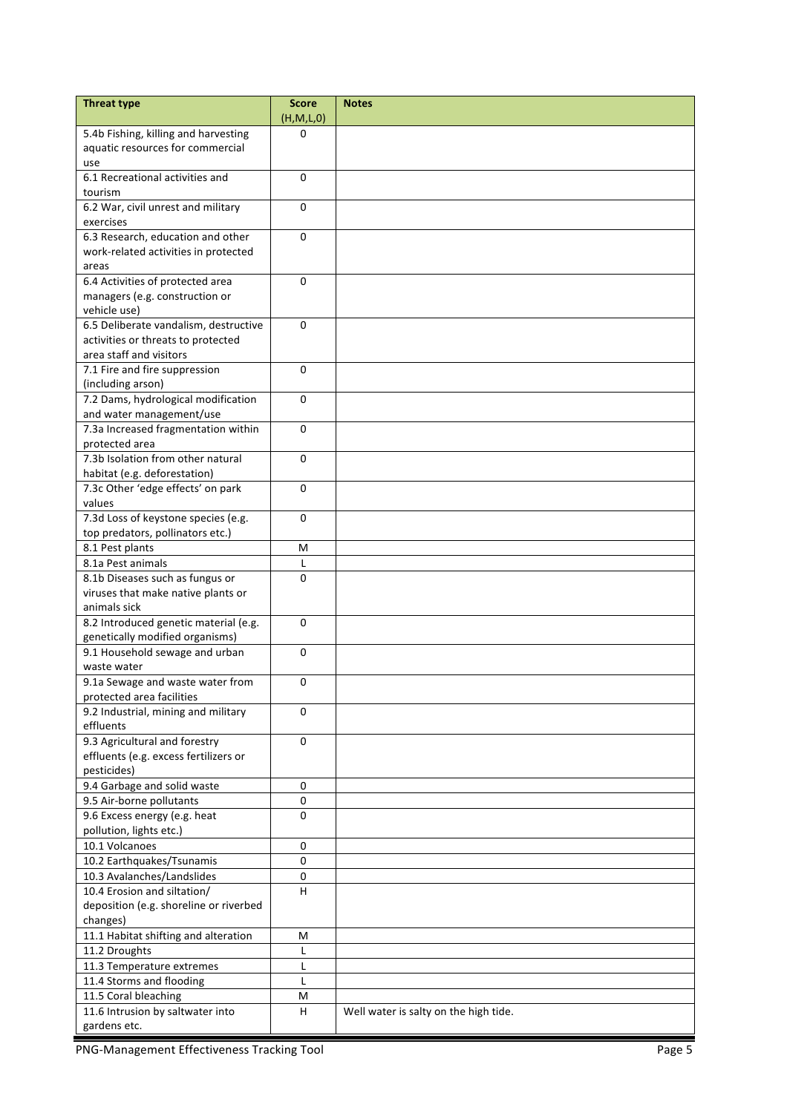| 5.4b Fishing, killing and harvesting<br>$\Omega$                               |  |
|--------------------------------------------------------------------------------|--|
| aquatic resources for commercial                                               |  |
| use                                                                            |  |
| 6.1 Recreational activities and<br>0                                           |  |
| tourism                                                                        |  |
| $\mathbf 0$<br>6.2 War, civil unrest and military                              |  |
| exercises                                                                      |  |
| 6.3 Research, education and other<br>$\Omega$                                  |  |
| work-related activities in protected                                           |  |
| areas                                                                          |  |
| 6.4 Activities of protected area<br>$\mathbf{0}$                               |  |
| managers (e.g. construction or                                                 |  |
| vehicle use)                                                                   |  |
| 6.5 Deliberate vandalism, destructive<br>$\Omega$                              |  |
| activities or threats to protected                                             |  |
| area staff and visitors                                                        |  |
| 7.1 Fire and fire suppression<br>$\mathbf{0}$                                  |  |
| (including arson)                                                              |  |
| 7.2 Dams, hydrological modification<br>0                                       |  |
| and water management/use                                                       |  |
| 7.3a Increased fragmentation within<br>0                                       |  |
| protected area                                                                 |  |
| 7.3b Isolation from other natural<br>$\Omega$                                  |  |
| habitat (e.g. deforestation)                                                   |  |
| 7.3c Other 'edge effects' on park<br>$\mathbf{0}$                              |  |
| values                                                                         |  |
| 7.3d Loss of keystone species (e.g.<br>$\mathbf{0}$                            |  |
| top predators, pollinators etc.)                                               |  |
| 8.1 Pest plants<br>M                                                           |  |
| 8.1a Pest animals<br>L                                                         |  |
| 8.1b Diseases such as fungus or<br>0                                           |  |
| viruses that make native plants or                                             |  |
| animals sick                                                                   |  |
| 8.2 Introduced genetic material (e.g.<br>$\mathbf 0$                           |  |
| genetically modified organisms)                                                |  |
| 9.1 Household sewage and urban<br>0                                            |  |
| waste water                                                                    |  |
| 9.1a Sewage and waste water from<br>0                                          |  |
| protected area facilities                                                      |  |
| 9.2 Industrial, mining and military<br>$\Omega$                                |  |
| effluents                                                                      |  |
| 9.3 Agricultural and forestry<br>$\mathbf 0$                                   |  |
| effluents (e.g. excess fertilizers or                                          |  |
| pesticides)                                                                    |  |
| 9.4 Garbage and solid waste<br>0                                               |  |
| 9.5 Air-borne pollutants<br>$\pmb{0}$                                          |  |
| 0<br>9.6 Excess energy (e.g. heat                                              |  |
| pollution, lights etc.)                                                        |  |
| 10.1 Volcanoes<br>$\mathbf 0$                                                  |  |
| 10.2 Earthquakes/Tsunamis<br>0                                                 |  |
| 10.3 Avalanches/Landslides<br>$\pmb{0}$                                        |  |
| 10.4 Erosion and siltation/<br>H                                               |  |
| deposition (e.g. shoreline or riverbed                                         |  |
| changes)                                                                       |  |
| 11.1 Habitat shifting and alteration<br>M                                      |  |
| 11.2 Droughts<br>L                                                             |  |
| 11.3 Temperature extremes<br>L                                                 |  |
| 11.4 Storms and flooding<br>L                                                  |  |
| 11.5 Coral bleaching<br>M                                                      |  |
| 11.6 Intrusion by saltwater into<br>H<br>Well water is salty on the high tide. |  |
| gardens etc.                                                                   |  |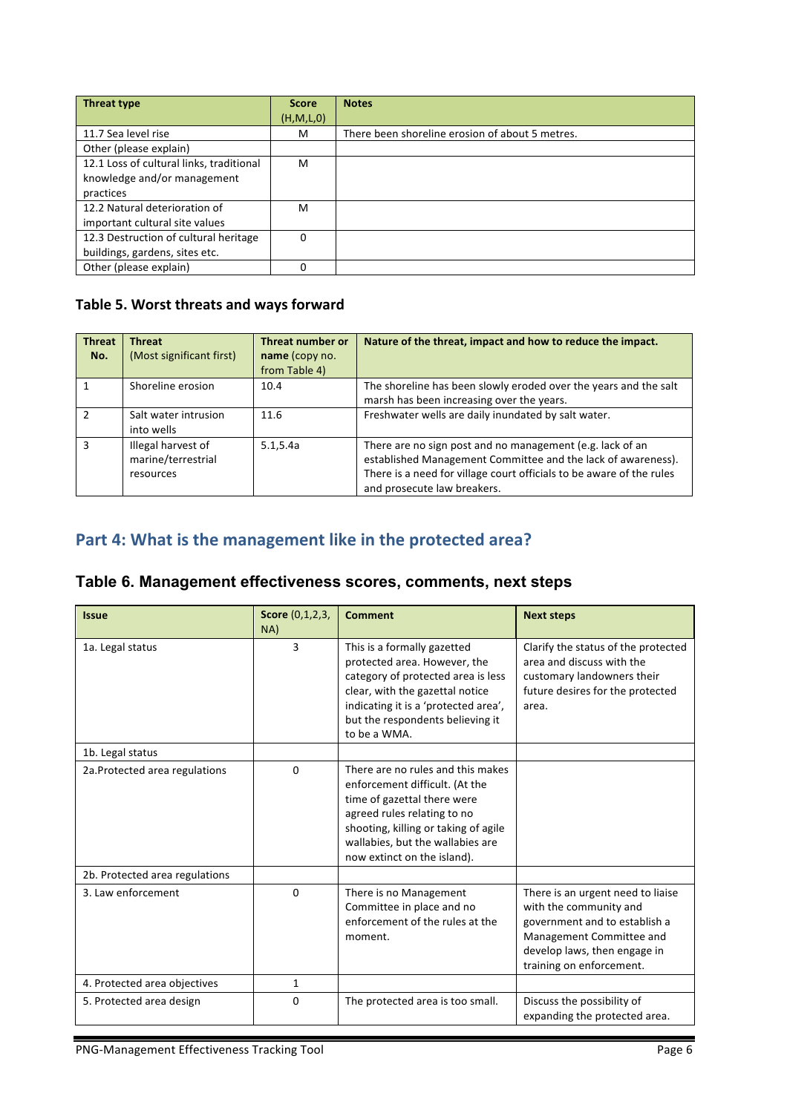| <b>Threat type</b>                       | <b>Score</b> | <b>Notes</b>                                    |
|------------------------------------------|--------------|-------------------------------------------------|
|                                          | (H, M, L, 0) |                                                 |
| 11.7 Sea level rise                      | м            | There been shoreline erosion of about 5 metres. |
| Other (please explain)                   |              |                                                 |
| 12.1 Loss of cultural links, traditional | M            |                                                 |
| knowledge and/or management              |              |                                                 |
| practices                                |              |                                                 |
| 12.2 Natural deterioration of            | м            |                                                 |
| important cultural site values           |              |                                                 |
| 12.3 Destruction of cultural heritage    | 0            |                                                 |
| buildings, gardens, sites etc.           |              |                                                 |
| Other (please explain)                   | 0            |                                                 |

## Table 5. Worst threats and ways forward

| <b>Threat</b><br>No. | <b>Threat</b><br>(Most significant first)             | Threat number or<br>name (copy no.<br>from Table 4) | Nature of the threat, impact and how to reduce the impact.                                                                                                                                                                       |
|----------------------|-------------------------------------------------------|-----------------------------------------------------|----------------------------------------------------------------------------------------------------------------------------------------------------------------------------------------------------------------------------------|
|                      | Shoreline erosion                                     | 10.4                                                | The shoreline has been slowly eroded over the years and the salt<br>marsh has been increasing over the years.                                                                                                                    |
| $\mathfrak{p}$       | Salt water intrusion<br>into wells                    | 11.6                                                | Freshwater wells are daily inundated by salt water.                                                                                                                                                                              |
| з                    | Illegal harvest of<br>marine/terrestrial<br>resources | 5.1, 5.4a                                           | There are no sign post and no management (e.g. lack of an<br>established Management Committee and the lack of awareness).<br>There is a need for village court officials to be aware of the rules<br>and prosecute law breakers. |

# Part 4: What is the management like in the protected area?

|  |  | Table 6. Management effectiveness scores, comments, next steps |  |  |  |  |
|--|--|----------------------------------------------------------------|--|--|--|--|
|--|--|----------------------------------------------------------------|--|--|--|--|

| <b>Issue</b>                   | Score (0,1,2,3,<br>NA) | <b>Comment</b>                                                                                                                                                                                                                               | <b>Next steps</b>                                                                                                                                                                    |
|--------------------------------|------------------------|----------------------------------------------------------------------------------------------------------------------------------------------------------------------------------------------------------------------------------------------|--------------------------------------------------------------------------------------------------------------------------------------------------------------------------------------|
| 1a. Legal status               | 3                      | This is a formally gazetted<br>protected area. However, the<br>category of protected area is less<br>clear, with the gazettal notice<br>indicating it is a 'protected area',<br>but the respondents believing it<br>to be a WMA.             | Clarify the status of the protected<br>area and discuss with the<br>customary landowners their<br>future desires for the protected<br>area.                                          |
| 1b. Legal status               |                        |                                                                                                                                                                                                                                              |                                                                                                                                                                                      |
| 2a. Protected area regulations | $\Omega$               | There are no rules and this makes<br>enforcement difficult. (At the<br>time of gazettal there were<br>agreed rules relating to no<br>shooting, killing or taking of agile<br>wallabies, but the wallabies are<br>now extinct on the island). |                                                                                                                                                                                      |
| 2b. Protected area regulations |                        |                                                                                                                                                                                                                                              |                                                                                                                                                                                      |
| 3. Law enforcement             | $\Omega$               | There is no Management<br>Committee in place and no<br>enforcement of the rules at the<br>moment.                                                                                                                                            | There is an urgent need to liaise<br>with the community and<br>government and to establish a<br>Management Committee and<br>develop laws, then engage in<br>training on enforcement. |
| 4. Protected area objectives   | 1                      |                                                                                                                                                                                                                                              |                                                                                                                                                                                      |
| 5. Protected area design       | 0                      | The protected area is too small.                                                                                                                                                                                                             | Discuss the possibility of<br>expanding the protected area.                                                                                                                          |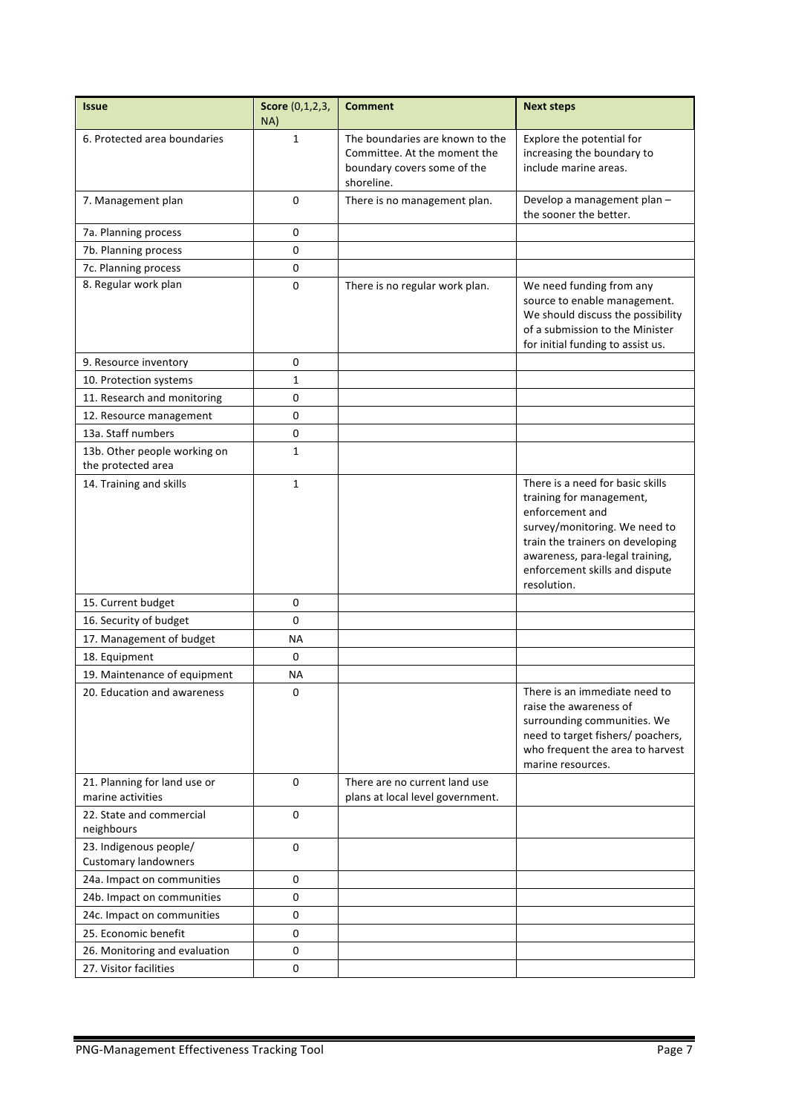| <b>Issue</b>                                          | Score (0,1,2,3,<br>NA) | <b>Comment</b>                                                                                               | <b>Next steps</b>                                                                                                                                                                                                                        |
|-------------------------------------------------------|------------------------|--------------------------------------------------------------------------------------------------------------|------------------------------------------------------------------------------------------------------------------------------------------------------------------------------------------------------------------------------------------|
| 6. Protected area boundaries                          | $\mathbf{1}$           | The boundaries are known to the<br>Committee. At the moment the<br>boundary covers some of the<br>shoreline. | Explore the potential for<br>increasing the boundary to<br>include marine areas.                                                                                                                                                         |
| 7. Management plan                                    | 0                      | There is no management plan.                                                                                 | Develop a management plan -<br>the sooner the better.                                                                                                                                                                                    |
| 7a. Planning process                                  | 0                      |                                                                                                              |                                                                                                                                                                                                                                          |
| 7b. Planning process                                  | 0                      |                                                                                                              |                                                                                                                                                                                                                                          |
| 7c. Planning process                                  | 0                      |                                                                                                              |                                                                                                                                                                                                                                          |
| 8. Regular work plan                                  | 0                      | There is no regular work plan.                                                                               | We need funding from any<br>source to enable management.<br>We should discuss the possibility<br>of a submission to the Minister<br>for initial funding to assist us.                                                                    |
| 9. Resource inventory                                 | 0                      |                                                                                                              |                                                                                                                                                                                                                                          |
| 10. Protection systems                                | 1                      |                                                                                                              |                                                                                                                                                                                                                                          |
| 11. Research and monitoring                           | 0                      |                                                                                                              |                                                                                                                                                                                                                                          |
| 12. Resource management                               | 0                      |                                                                                                              |                                                                                                                                                                                                                                          |
| 13a. Staff numbers                                    | 0                      |                                                                                                              |                                                                                                                                                                                                                                          |
| 13b. Other people working on<br>the protected area    | 1                      |                                                                                                              |                                                                                                                                                                                                                                          |
| 14. Training and skills                               | $\mathbf{1}$           |                                                                                                              | There is a need for basic skills<br>training for management,<br>enforcement and<br>survey/monitoring. We need to<br>train the trainers on developing<br>awareness, para-legal training,<br>enforcement skills and dispute<br>resolution. |
| 15. Current budget                                    | 0                      |                                                                                                              |                                                                                                                                                                                                                                          |
| 16. Security of budget                                | $\mathbf 0$            |                                                                                                              |                                                                                                                                                                                                                                          |
| 17. Management of budget                              | ΝA                     |                                                                                                              |                                                                                                                                                                                                                                          |
| 18. Equipment                                         | 0                      |                                                                                                              |                                                                                                                                                                                                                                          |
| 19. Maintenance of equipment                          | NА                     |                                                                                                              |                                                                                                                                                                                                                                          |
| 20. Education and awareness                           | 0                      |                                                                                                              | There is an immediate need to<br>raise the awareness of<br>surrounding communities. We<br>need to target fishers/ poachers,<br>who frequent the area to harvest<br>marine resources.                                                     |
| 21. Planning for land use or<br>marine activities     | $\Omega$               | There are no current land use<br>plans at local level government.                                            |                                                                                                                                                                                                                                          |
| 22. State and commercial<br>neighbours                | 0                      |                                                                                                              |                                                                                                                                                                                                                                          |
| 23. Indigenous people/<br><b>Customary landowners</b> | $\mathbf 0$            |                                                                                                              |                                                                                                                                                                                                                                          |
| 24a. Impact on communities                            | 0                      |                                                                                                              |                                                                                                                                                                                                                                          |
| 24b. Impact on communities                            | 0                      |                                                                                                              |                                                                                                                                                                                                                                          |
| 24c. Impact on communities                            | 0                      |                                                                                                              |                                                                                                                                                                                                                                          |
| 25. Economic benefit                                  | 0                      |                                                                                                              |                                                                                                                                                                                                                                          |
| 26. Monitoring and evaluation                         | 0                      |                                                                                                              |                                                                                                                                                                                                                                          |
| 27. Visitor facilities                                | 0                      |                                                                                                              |                                                                                                                                                                                                                                          |